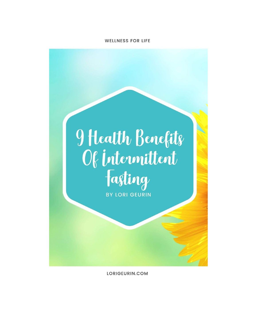## **WELLNESS FOR LIFE**

## 9 Health Benefits Of intermittent **BY LORI GEURIN**

LORIGEURIN.COM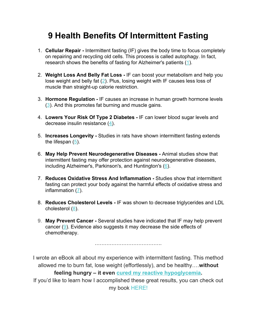## **9 Health Benefits Of Intermittent Fasting**

- 1. **Cellular Repair** Intermittent fasting (IF) gives the body time to focus completely on repairing and recycling old cells. This process is called autophagy. In fact, research shows the benefits of fasting for Alzheimer's patients ([1](http://www.sciencedirect.com/science/article/pii/S0969996106003251)).
- 2. **Weight Loss And Belly Fat Loss** IF can boost your metabolism and help you lose weight and belly fat ([2](http://www.sciencedirect.com/science/article/pii/S193152441400200X)). Plus, losing weight with IF causes less loss of muscle than straight-up calorie restriction.
- 3. **Hormone Regulation** IF causes an increase in human growth hormone levels ([3](https://www.ncbi.nlm.nih.gov/pmc/articles/PMC329619/)). And this promotes fat burning and muscle gains.
- 4. **Lowers Your Risk Of Type 2 Diabetes** IF can lower blood sugar levels and decrease insulin resistance [\(4\)](http://www.sciencedirect.com/science/article/pii/S193152441400200X).
- 5. **Increases Longevity** Studies in rats have shown intermittent fasting extends the lifespan ([5\)](http://geronj.oxfordjournals.org/content/38/1/36.short).
- 6. **May Help Prevent Neurodegenerative Diseases** Animal studies show that intermittent fasting may offer protection against neurodegenerative diseases, including Alzheimer's, Parkinson's, and Huntington's [\(6](https://www.ncbi.nlm.nih.gov/pmc/articles/PMC2622429/)).
- 7. **Reduces Oxidative Stress And Inflammation** Studies show that intermittent fasting can protect your body against the harmful effects of oxidative stress and inflammation [\(7](http://www.nature.com/nm/journal/v21/n3/abs/nm.3804.html)).
- 8. **Reduces Cholesterol Levels** IF was shown to decrease triglycerides and LDL cholesterol [\(8](https://www.sciencedaily.com/releases/2014/06/140614150142.htm)).
- 9. **May Prevent Cancer** Several studies have indicated that IF may help prevent cancer ([9](https://www.ncbi.nlm.nih.gov/pubmed/22323820)). Evidence also suggests it may decrease the side effects of chemotherapy.

………………………………….

I wrote an eBook all about my experience with intermittent fasting. This method allowed me to burn fat, lose weight (effortlessly), and be healthy….**without**

**feeling hungry – it even cured my reactive [hypoglycemia](https://lorigeurin.com/how-intermittent-fasting-cured-my-hypoglycemia/).** If you'd like to learn how I accomplished these great results, you can check out my book [HERE!](https://amzn.to/3bs7jKV)